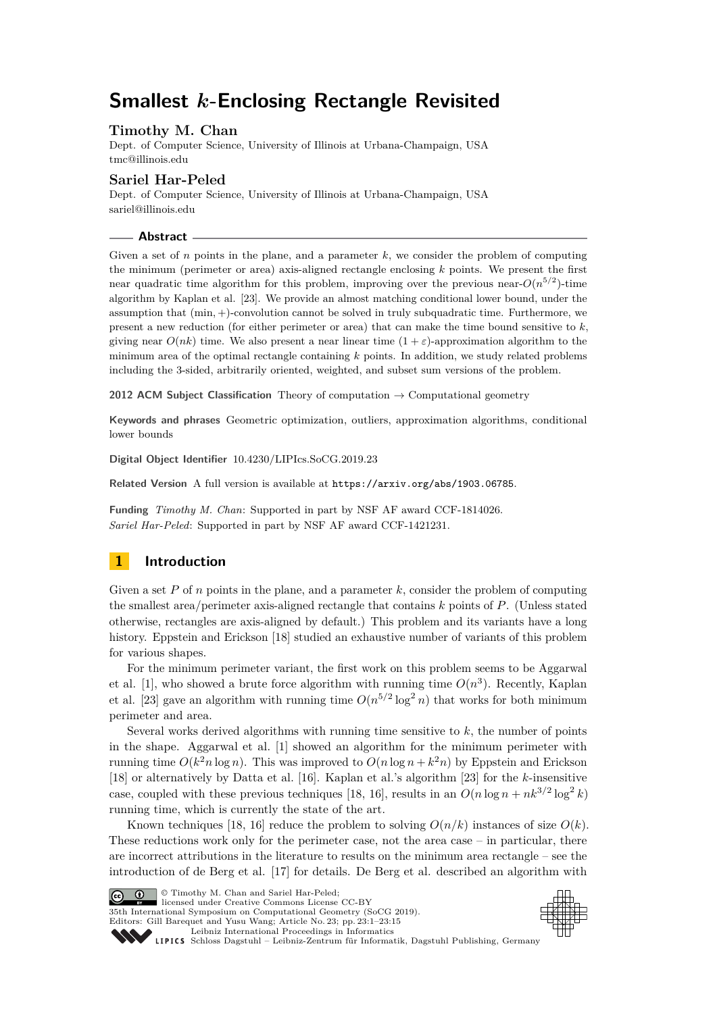# **Smallest** *k***-Enclosing Rectangle Revisited**

## **Timothy M. Chan**

Dept. of Computer Science, University of Illinois at Urbana-Champaign, USA [tmc@illinois.edu](mailto:tmc@illinois.edu)

## **Sariel Har-Peled**

Dept. of Computer Science, University of Illinois at Urbana-Champaign, USA [sariel@illinois.edu](mailto:sariel@illinois.edu)

**Abstract**

Given a set of *n* points in the plane, and a parameter *k*, we consider the problem of computing the minimum (perimeter or area) axis-aligned rectangle enclosing *k* points. We present the first near quadratic time algorithm for this problem, improving over the previous near- $O(n^{5/2})$ -time algorithm by Kaplan et al. [\[23\]](#page-14-0). We provide an almost matching conditional lower bound, under the assumption that (min*,* +)-convolution cannot be solved in truly subquadratic time. Furthermore, we present a new reduction (for either perimeter or area) that can make the time bound sensitive to *k*, giving near  $O(nk)$  time. We also present a near linear time  $(1 + \varepsilon)$ -approximation algorithm to the minimum area of the optimal rectangle containing *k* points. In addition, we study related problems including the 3-sided, arbitrarily oriented, weighted, and subset sum versions of the problem.

**2012 ACM Subject Classification** Theory of computation → Computational geometry

**Keywords and phrases** Geometric optimization, outliers, approximation algorithms, conditional lower bounds

**Digital Object Identifier** [10.4230/LIPIcs.SoCG.2019.23](https://doi.org/10.4230/LIPIcs.SoCG.2019.23)

**Related Version** A full version is available at <https://arxiv.org/abs/1903.06785>.

**Funding** *Timothy M. Chan*: Supported in part by NSF AF award CCF-1814026. *Sariel Har-Peled*: Supported in part by NSF AF award CCF-1421231.

## **1 Introduction**

Given a set *P* of *n* points in the plane, and a parameter *k*, consider the problem of computing the smallest area/perimeter axis-aligned rectangle that contains *k* points of *P*. (Unless stated otherwise, rectangles are axis-aligned by default.) This problem and its variants have a long history. Eppstein and Erickson [\[18\]](#page-14-1) studied an exhaustive number of variants of this problem for various shapes.

For the minimum perimeter variant, the first work on this problem seems to be Aggarwal et al. [\[1\]](#page-13-0), who showed a brute force algorithm with running time  $O(n^3)$ . Recently, Kaplan et al. [\[23\]](#page-14-0) gave an algorithm with running time  $O(n^{5/2} \log^2 n)$  that works for both minimum perimeter and area.

Several works derived algorithms with running time sensitive to *k*, the number of points in the shape. Aggarwal et al. [\[1\]](#page-13-0) showed an algorithm for the minimum perimeter with running time  $O(k^2 n \log n)$ . This was improved to  $O(n \log n + k^2 n)$  by Eppstein and Erickson [\[18\]](#page-14-1) or alternatively by Datta et al. [\[16\]](#page-14-2). Kaplan et al.'s algorithm [\[23\]](#page-14-0) for the *k*-insensitive case, coupled with these previous techniques [\[18,](#page-14-1) [16\]](#page-14-2), results in an  $O(n \log n + nk^{3/2} \log^2 k)$ running time, which is currently the state of the art.

Known techniques [\[18,](#page-14-1) [16\]](#page-14-2) reduce the problem to solving  $O(n/k)$  instances of size  $O(k)$ . These reductions work only for the perimeter case, not the area case – in particular, there are incorrect attributions in the literature to results on the minimum area rectangle – see the introduction of de Berg et al. [\[17\]](#page-14-3) for details. De Berg et al. described an algorithm with



**C**  $\bullet$  Timothy M. Chan and Sariel Har-Peled: licensed under Creative Commons License CC-BY 35th International Symposium on Computational Geometry (SoCG 2019). Editors: Gill Barequet and Yusu Wang; Article No. 23; pp. 23:1–23[:15](#page-14-4) [Leibniz International Proceedings in Informatics](https://www.dagstuhl.de/lipics/)



SCHLOSS Dagstuhl – Leibniz-Zentrum für Informatik, Dagstuhl Publishing, Germany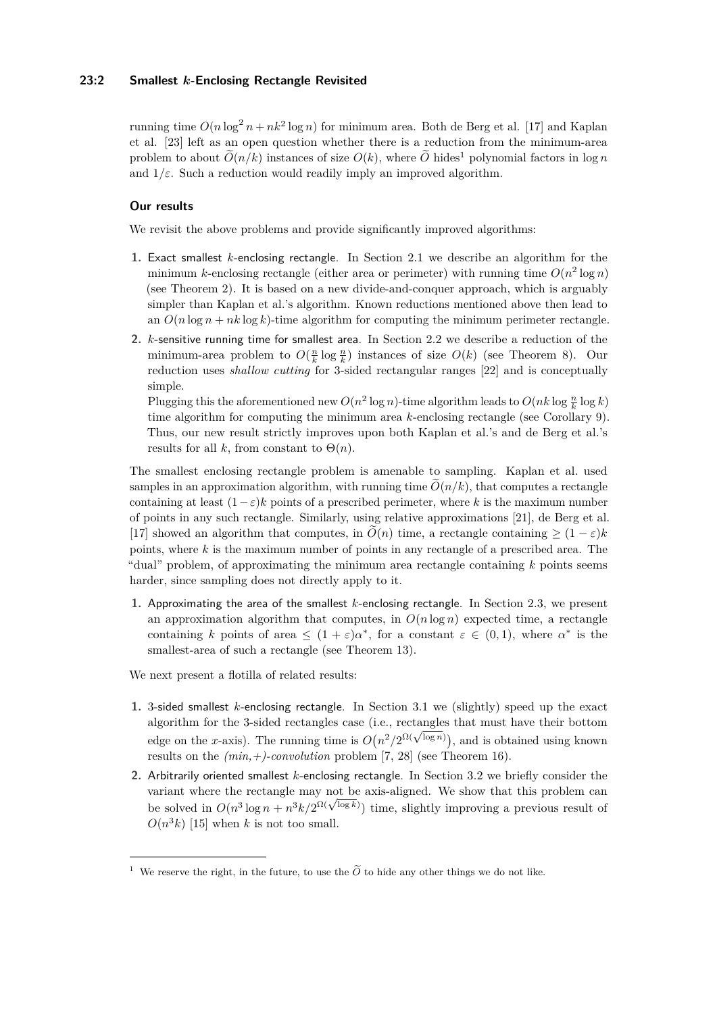## **23:2 Smallest** *k***-Enclosing Rectangle Revisited**

running time  $O(n \log^2 n + nk^2 \log n)$  for minimum area. Both de Berg et al. [\[17\]](#page-14-3) and Kaplan et al. [\[23\]](#page-14-0) left as an open question whether there is a reduction from the minimum-area problem to about  $\tilde{O}(n/k)$  instances of size  $O(k)$ , where  $\tilde{O}$  hides<sup>[1](#page-1-0)</sup> polynomial factors in log *n* and  $1/\varepsilon$ . Such a reduction would readily imply an improved algorithm.

## **Our results**

We revisit the above problems and provide significantly improved algorithms:

- **1.** Exact smallest *k*-enclosing rectangle. In [Section 2.1](#page-2-0) we describe an algorithm for the minimum *k*-enclosing rectangle (either area or perimeter) with running time  $O(n^2 \log n)$ (see [Theorem 2\)](#page-3-0). It is based on a new divide-and-conquer approach, which is arguably simpler than Kaplan et al.'s algorithm. Known reductions mentioned above then lead to an  $O(n \log n + nk \log k)$ -time algorithm for computing the minimum perimeter rectangle.
- **2.** *k*-sensitive running time for smallest area. In [Section 2.2](#page-4-0) we describe a reduction of the minimum-area problem to  $O(\frac{n}{k} \log \frac{n}{k})$  instances of size  $O(k)$  (see [Theorem 8\)](#page-6-0). Our reduction uses *shallow cutting* for 3-sided rectangular ranges [\[22\]](#page-14-5) and is conceptually simple.

Plugging this the aforementioned new  $O(n^2 \log n)$ -time algorithm leads to  $O(nk \log \frac{n}{k} \log k)$ time algorithm for computing the minimum area *k*-enclosing rectangle (see [Corollary 9\)](#page-6-1). Thus, our new result strictly improves upon both Kaplan et al.'s and de Berg et al.'s results for all *k*, from constant to  $\Theta(n)$ .

The smallest enclosing rectangle problem is amenable to sampling. Kaplan et al. used samples in an approximation algorithm, with running time  $O(n/k)$ , that computes a rectangle containing at least  $(1-\varepsilon)k$  points of a prescribed perimeter, where k is the maximum number of points in any such rectangle. Similarly, using relative approximations [\[21\]](#page-14-6), de Berg et al. [\[17\]](#page-14-3) showed an algorithm that computes, in  $O(n)$  time, a rectangle containing  $\geq (1 - \varepsilon)k$ points, where *k* is the maximum number of points in any rectangle of a prescribed area. The "dual" problem, of approximating the minimum area rectangle containing *k* points seems harder, since sampling does not directly apply to it.

**1.** Approximating the area of the smallest *k*-enclosing rectangle. In [Section 2.3,](#page-6-2) we present an approximation algorithm that computes, in  $O(n \log n)$  expected time, a rectangle containing *k* points of area  $\leq (1+\varepsilon)a^*$ , for a constant  $\varepsilon \in (0,1)$ , where  $\alpha^*$  is the smallest-area of such a rectangle (see [Theorem 13\)](#page-8-0).

We next present a flotilla of related results:

- **1.** 3-sided smallest *k*-enclosing rectangle. In [Section 3.1](#page-9-0) we (slightly) speed up the exact algorithm for the 3-sided rectangles case (i.e., rectangles that must have their bottom algorithm for the 3-sided rectangles case (i.e., rectangles that must have their bottom<br>edge on the *x*-axis). The running time is  $O(n^2/2^{\Omega(\sqrt{\log n}}))$ , and is obtained using known results on the *(min,+)-convolution* problem [\[7,](#page-13-1) [28\]](#page-14-7) (see [Theorem 16\)](#page-10-0).
- **2.** Arbitrarily oriented smallest *k*-enclosing rectangle. In [Section 3.2](#page-10-1) we briefly consider the variant where the rectangle may not be axis-aligned. We show that this problem can variant where the rectangle may not be axis-aligned. We show that this problem can<br>be solved in  $O(n^3 \log n + n^3 k/2^{\Omega(\sqrt{\log k})})$  time, slightly improving a previous result of  $O(n^3k)$  [\[15\]](#page-14-8) when *k* is not too small.

<span id="page-1-0"></span><sup>&</sup>lt;sup>1</sup> We reserve the right, in the future, to use the  $\widetilde{O}$  to hide any other things we do not like.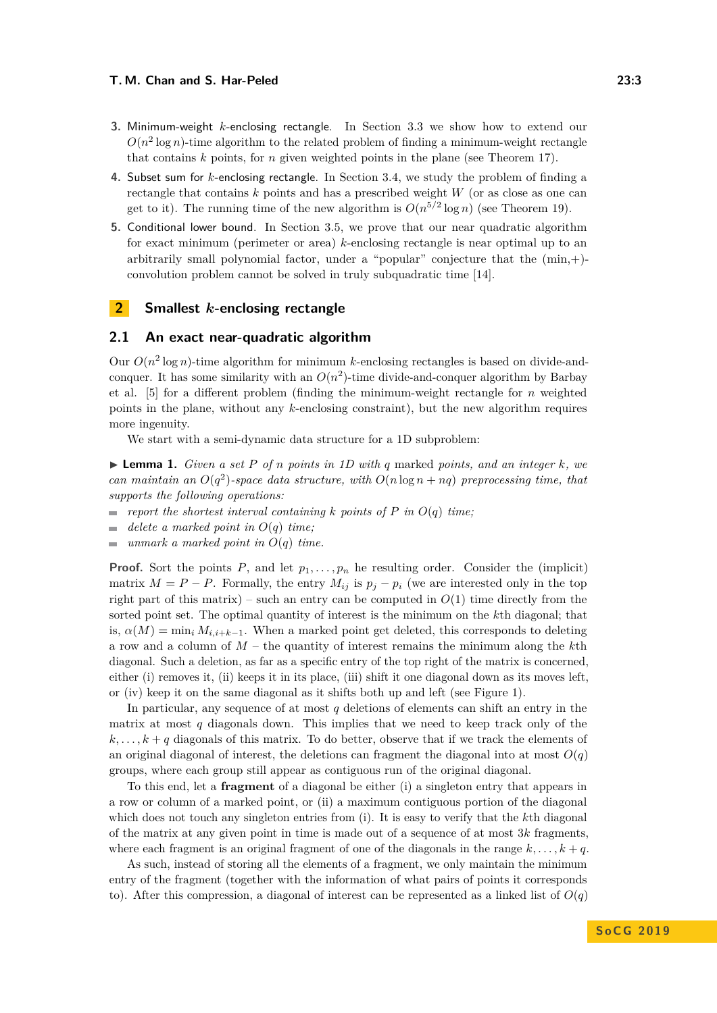- **3.** Minimum-weight *k*-enclosing rectangle. In [Section 3.3](#page-11-0) we show how to extend our  $O(n^2 \log n)$ -time algorithm to the related problem of finding a minimum-weight rectangle that contains *k* points, for *n* given weighted points in the plane (see [Theorem 17\)](#page-11-1).
- **4.** Subset sum for *k*-enclosing rectangle. In [Section 3.4,](#page-11-2) we study the problem of finding a rectangle that contains *k* points and has a prescribed weight *W* (or as close as one can get to it). The running time of the new algorithm is  $O(n^{5/2} \log n)$  (see [Theorem 19\)](#page-12-0).
- **5.** Conditional lower bound. In [Section 3.5,](#page-12-1) we prove that our near quadratic algorithm for exact minimum (perimeter or area) *k*-enclosing rectangle is near optimal up to an arbitrarily small polynomial factor, under a "popular" conjecture that the  $(\min,+)$ convolution problem cannot be solved in truly subquadratic time [\[14\]](#page-14-9).

## **2 Smallest** *k***-enclosing rectangle**

## <span id="page-2-0"></span>**2.1 An exact near-quadratic algorithm**

Our  $O(n^2 \log n)$ -time algorithm for minimum *k*-enclosing rectangles is based on divide-andconquer. It has some similarity with an  $O(n^2)$ -time divide-and-conquer algorithm by Barbay et al. [\[5\]](#page-13-2) for a different problem (finding the minimum-weight rectangle for *n* weighted points in the plane, without any *k*-enclosing constraint), but the new algorithm requires more ingenuity.

We start with a semi-dynamic data structure for a 1D subproblem:

<span id="page-2-1"></span> $\blacktriangleright$  **Lemma 1.** *Given a set P of n points in 1D with q* marked *points, and an integer k, we can maintain an*  $O(q^2)$ -space data structure, with  $O(n \log n + nq)$  preprocessing time, that *supports the following operations:*

- *report the shortest interval containing*  $k$  *points of*  $P$  *in*  $O(q)$  *time;*
- *delete a marked point in O*(*q*) *time;*  $\sim$
- $\overline{a}$ *unmark a marked point in O*(*q*) *time.*

**Proof.** Sort the points  $P$ , and let  $p_1, \ldots, p_n$  he resulting order. Consider the (implicit) matrix  $M = P - P$ . Formally, the entry  $M_{ij}$  is  $p_j - p_i$  (we are interested only in the top right part of this matrix) – such an entry can be computed in  $O(1)$  time directly from the sorted point set. The optimal quantity of interest is the minimum on the *k*th diagonal; that is,  $\alpha(M) = \min_i M_{i,i+k-1}$ . When a marked point get deleted, this corresponds to deleting a row and a column of *M* – the quantity of interest remains the minimum along the *k*th diagonal. Such a deletion, as far as a specific entry of the top right of the matrix is concerned, either (i) removes it, (ii) keeps it in its place, (iii) shift it one diagonal down as its moves left, or (iv) keep it on the same diagonal as it shifts both up and left (see [Figure 1\)](#page-3-1).

In particular, any sequence of at most *q* deletions of elements can shift an entry in the matrix at most  $q$  diagonals down. This implies that we need to keep track only of the  $k, \ldots, k + q$  diagonals of this matrix. To do better, observe that if we track the elements of an original diagonal of interest, the deletions can fragment the diagonal into at most  $O(q)$ groups, where each group still appear as contiguous run of the original diagonal.

To this end, let a **fragment** of a diagonal be either (i) a singleton entry that appears in a row or column of a marked point, or (ii) a maximum contiguous portion of the diagonal which does not touch any singleton entries from (i). It is easy to verify that the *k*th diagonal of the matrix at any given point in time is made out of a sequence of at most 3*k* fragments, where each fragment is an original fragment of one of the diagonals in the range  $k, \ldots, k + q$ .

As such, instead of storing all the elements of a fragment, we only maintain the minimum entry of the fragment (together with the information of what pairs of points it corresponds to). After this compression, a diagonal of interest can be represented as a linked list of  $O(q)$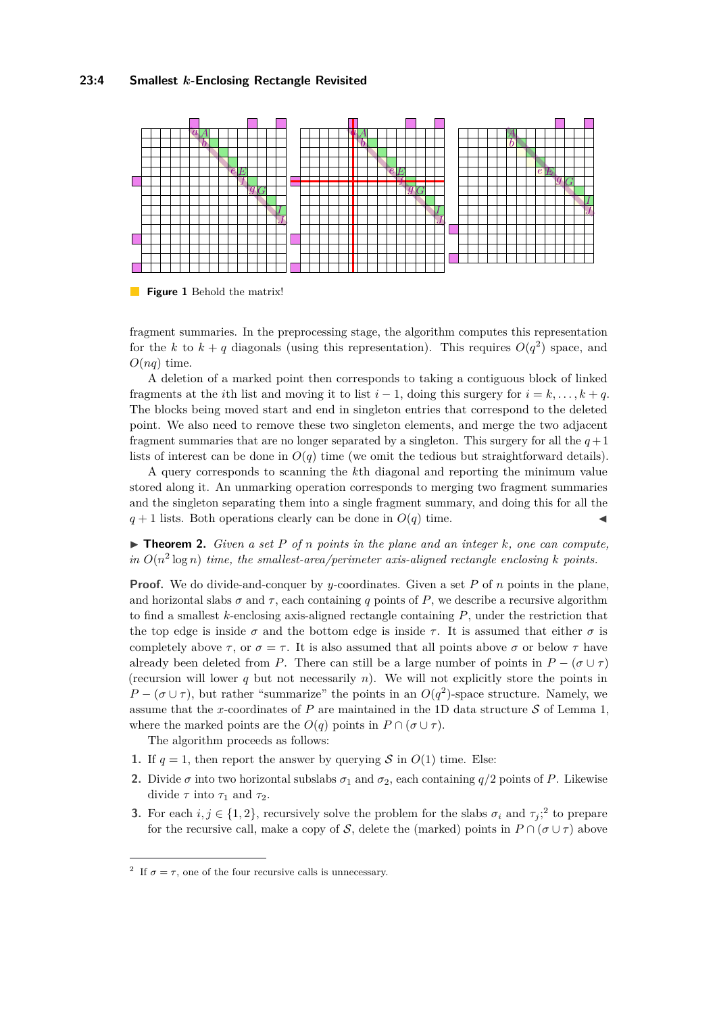## **23:4 Smallest** *k***-Enclosing Rectangle Revisited**

<span id="page-3-1"></span>

**Figure 1** Behold the matrix!

fragment summaries. In the preprocessing stage, the algorithm computes this representation for the *k* to  $k + q$  diagonals (using this representation). This requires  $O(q^2)$  space, and *O*(*nq*) time.

A deletion of a marked point then corresponds to taking a contiguous block of linked fragments at the *i*th list and moving it to list  $i - 1$ , doing this surgery for  $i = k, \ldots, k + q$ . The blocks being moved start and end in singleton entries that correspond to the deleted point. We also need to remove these two singleton elements, and merge the two adjacent fragment summaries that are no longer separated by a singleton. This surgery for all the  $q+1$ lists of interest can be done in  $O(q)$  time (we omit the tedious but straightforward details).

A query corresponds to scanning the *k*th diagonal and reporting the minimum value stored along it. An unmarking operation corresponds to merging two fragment summaries and the singleton separating them into a single fragment summary, and doing this for all the  $q+1$  lists. Both operations clearly can be done in  $O(q)$  time.

<span id="page-3-0"></span> $\triangleright$  **Theorem 2.** *Given a set P of n points in the plane and an integer k, one can compute,* in  $O(n^2 \log n)$  *time, the smallest-area/perimeter axis-aligned rectangle enclosing k points.* 

**Proof.** We do divide-and-conquer by *y*-coordinates. Given a set *P* of *n* points in the plane, and horizontal slabs  $\sigma$  and  $\tau$ , each containing q points of P, we describe a recursive algorithm to find a smallest *k*-enclosing axis-aligned rectangle containing *P*, under the restriction that the top edge is inside  $\sigma$  and the bottom edge is inside  $\tau$ . It is assumed that either  $\sigma$  is completely above  $\tau$ , or  $\sigma = \tau$ . It is also assumed that all points above  $\sigma$  or below  $\tau$  have already been deleted from *P*. There can still be a large number of points in  $P - (\sigma \cup \tau)$ (recursion will lower  $q$  but not necessarily  $n$ ). We will not explicitly store the points in  $P - (\sigma \cup \tau)$ , but rather "summarize" the points in an  $O(q^2)$ -space structure. Namely, we assume that the *x*-coordinates of  $P$  are maintained in the 1D data structure  $S$  of [Lemma 1,](#page-2-1) where the marked points are the  $O(q)$  points in  $P \cap (\sigma \cup \tau)$ .

The algorithm proceeds as follows:

- **1.** If  $q = 1$ , then report the answer by querying S in  $O(1)$  time. Else:
- **2.** Divide  $\sigma$  into two horizontal subslabs  $\sigma_1$  and  $\sigma_2$ , each containing  $q/2$  points of *P*. Likewise divide  $\tau$  into  $\tau_1$  and  $\tau_2$ .
- **3.** For each  $i, j \in \{1, 2\}$  $i, j \in \{1, 2\}$  $i, j \in \{1, 2\}$ , recursively solve the problem for the slabs  $\sigma_i$  and  $\tau_j$ ; to prepare for the recursive call, make a copy of S, delete the (marked) points in  $P \cap (\sigma \cup \tau)$  above

<span id="page-3-2"></span><sup>&</sup>lt;sup>2</sup> If  $\sigma = \tau$ , one of the four recursive calls is unnecessary.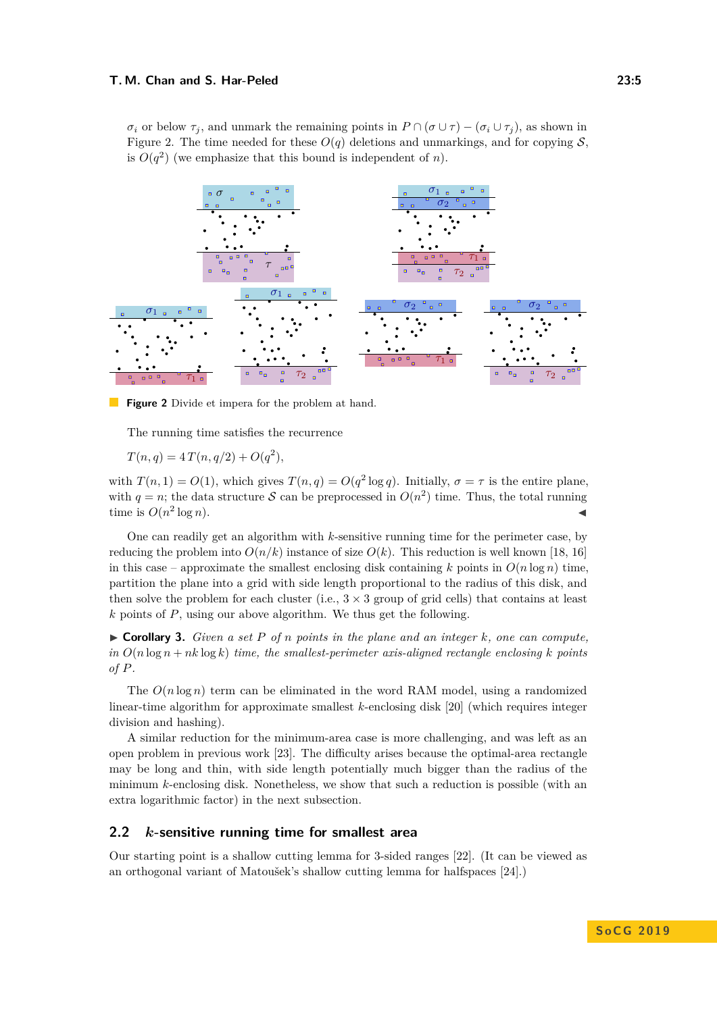$\sigma_i$  or below  $\tau_j$ , and unmark the remaining points in  $P \cap (\sigma \cup \tau) - (\sigma_i \cup \tau_j)$ , as shown in [Figure 2.](#page-4-1) The time needed for these  $O(q)$  deletions and unmarkings, and for copying  $S$ , is  $O(q^2)$  (we emphasize that this bound is independent of *n*).

<span id="page-4-1"></span>

**Figure 2** Divide et impera for the problem at hand.

The running time satisfies the recurrence

 $T(n,q) = 4 T(n,q/2) + O(q^2),$ 

with  $T(n, 1) = O(1)$ , which gives  $T(n, q) = O(q^2 \log q)$ . Initially,  $\sigma = \tau$  is the entire plane, with  $q = n$ ; the data structure S can be preprocessed in  $O(n^2)$  time. Thus, the total running time is  $O(n^2)$  $\log n$ ).

One can readily get an algorithm with *k*-sensitive running time for the perimeter case, by reducing the problem into  $O(n/k)$  instance of size  $O(k)$ . This reduction is well known [\[18,](#page-14-1) [16\]](#page-14-2) in this case – approximate the smallest enclosing disk containing k points in  $O(n \log n)$  time, partition the plane into a grid with side length proportional to the radius of this disk, and then solve the problem for each cluster (i.e.,  $3 \times 3$  group of grid cells) that contains at least *k* points of *P*, using our above algorithm. We thus get the following.

 $\triangleright$  **Corollary 3.** *Given a set P of n points in the plane and an integer k, one can compute, in*  $O(n \log n + nk \log k)$  *time, the smallest-perimeter axis-aligned rectangle enclosing k points of P.*

The  $O(n \log n)$  term can be eliminated in the word RAM model, using a randomized linear-time algorithm for approximate smallest *k*-enclosing disk [\[20\]](#page-14-10) (which requires integer division and hashing).

A similar reduction for the minimum-area case is more challenging, and was left as an open problem in previous work [\[23\]](#page-14-0). The difficulty arises because the optimal-area rectangle may be long and thin, with side length potentially much bigger than the radius of the minimum *k*-enclosing disk. Nonetheless, we show that such a reduction is possible (with an extra logarithmic factor) in the next subsection.

## <span id="page-4-0"></span>**2.2** *k***-sensitive running time for smallest area**

Our starting point is a shallow cutting lemma for 3-sided ranges [\[22\]](#page-14-5). (It can be viewed as an orthogonal variant of Matoušek's shallow cutting lemma for halfspaces [\[24\]](#page-14-11).)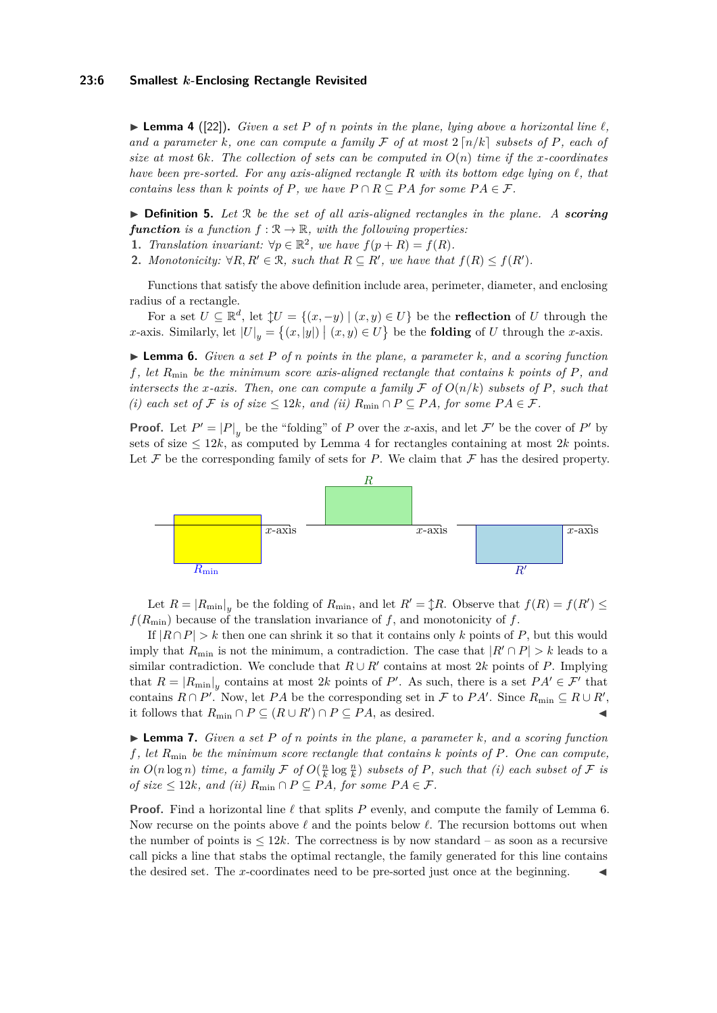#### **23:6 Smallest** *k***-Enclosing Rectangle Revisited**

<span id="page-5-0"></span> $\blacktriangleright$  **Lemma 4** ([\[22\]](#page-14-5)). *Given a set P of n points in the plane, lying above a horizontal line*  $\ell$ *.* and a parameter k, one can compute a family  $\mathcal F$  of at most  $2\lceil n/k \rceil$  subsets of P, each of *size at most* 6*k. The collection of sets can be computed in O*(*n*) *time if the x-coordinates have been pre-sorted. For any axis-aligned rectangle R with its bottom edge lying on `, that contains less than k points of*  $P$ *, we have*  $P \cap R \subseteq PA$  *for some*  $PA \in \mathcal{F}$ *.* 

▶ **Definition 5.** Let R be the set of all axis-aligned rectangles in the plane. A **scoring** *function is a function*  $f : \mathbb{R} \to \mathbb{R}$ *, with the following properties:* 

**1.** *Translation invariant:*  $\forall p \in \mathbb{R}^2$ , we have  $f(p+R) = f(R)$ .

**2.** *Monotonicity:*  $\forall R, R' \in \mathcal{R}$ *, such that*  $R \subseteq R'$ *, we have that*  $f(R) \leq f(R')$ *.* 

Functions that satisfy the above definition include area, perimeter, diameter, and enclosing radius of a rectangle.

For a set  $U \subseteq \mathbb{R}^d$ , let  $\mathcal{U} = \{(x, -y) | (x, y) \in U\}$  be the **reflection** of *U* through the *x*-axis. Similarly, let  $|U|_y = \{(x, |y|) | (x, y) \in U\}$  be the **folding** of *U* through the *x*-axis.

<span id="page-5-1"></span> $\blacktriangleright$  **Lemma 6.** *Given a set P of n points in the plane, a parameter k, and a scoring function f, let R*min *be the minimum score axis-aligned rectangle that contains k points of P, and intersects the x-axis. Then, one can compute a family*  $\mathcal F$  *of*  $O(n/k)$  *subsets of*  $P$ *, such that (i)* each set of F is of size  $\leq 12k$ *, and (ii)*  $R_{\min} \cap P \subseteq PA$ *, for some*  $PA \in \mathcal{F}$ *.* 

**Proof.** Let  $P' = |P|_y$  be the "folding" of *P* over the *x*-axis, and let  $\mathcal{F}'$  be the cover of  $P'$  by sets of size  $\leq 12k$ , as computed by [Lemma 4](#page-5-0) for rectangles containing at most  $2k$  points. Let  $\mathcal F$  be the corresponding family of sets for  $P$ . We claim that  $\mathcal F$  has the desired property.



Let  $R = |R_{\min}|_y$  be the folding of  $R_{\min}$ , and let  $R' = \mathcal{J}R$ . Observe that  $f(R) = f(R') \le$  $f(R_{\min})$  because of the translation invariance of  $f$ , and monotonicity of  $f$ .

If  $|R \cap P| > k$  then one can shrink it so that it contains only k points of P, but this would imply that  $R_{\text{min}}$  is not the minimum, a contradiction. The case that  $|R' \cap P| > k$  leads to a similar contradiction. We conclude that  $R \cup R'$  contains at most 2*k* points of *P*. Implying that  $R = |R_{\min}|_y$  contains at most 2k points of P'. As such, there is a set  $PA' \in \mathcal{F}'$  that contains  $R \cap P'$ . Now, let *PA* be the corresponding set in *F* to *PA'*. Since  $R_{\min} \subseteq R \cup R'$ , it follows that  $R_{\min} \cap P \subseteq (R \cup R') \cap P \subseteq PA$ , as desired.  $\triangleleft$ 

<span id="page-5-2"></span> $\blacktriangleright$  **Lemma 7.** *Given a set P of n points in the plane, a parameter k, and a scoring function f, let R*min *be the minimum score rectangle that contains k points of P. One can compute, in*  $O(n \log n)$  *time, a family*  $\mathcal F$  *of*  $O(\frac{n}{k} \log \frac{n}{k})$  *subsets of*  $P$ *, such that (i) each subset of*  $\mathcal F$  *is of size*  $\leq 12k$ *, and (ii)*  $R_{\min} \cap P \subseteq PA$ *, for some*  $PA \in \mathcal{F}$ *.* 

**Proof.** Find a horizontal line  $\ell$  that splits  $P$  evenly, and compute the family of [Lemma 6.](#page-5-1) Now recurse on the points above  $\ell$  and the points below  $\ell$ . The recursion bottoms out when the number of points is  $\leq 12k$ . The correctness is by now standard – as soon as a recursive call picks a line that stabs the optimal rectangle, the family generated for this line contains the desired set. The *x*-coordinates need to be pre-sorted just once at the beginning.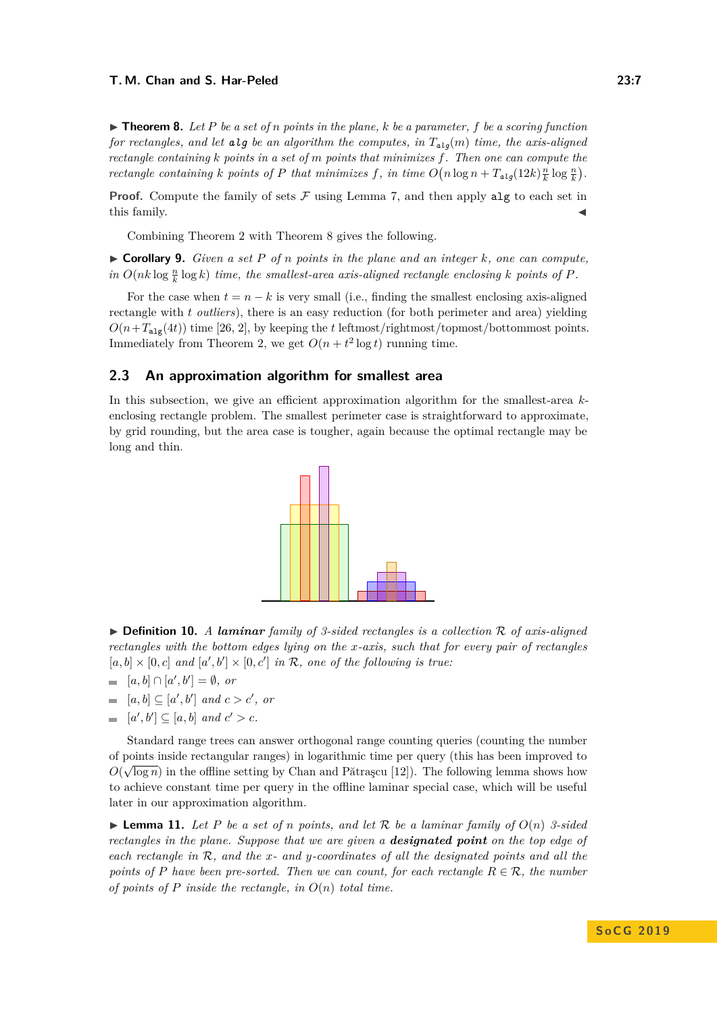<span id="page-6-0"></span> $\triangleright$  **Theorem 8.** Let P be a set of *n* points in the plane, k be a parameter, f be a scoring function *for rectangles, and let alg be an algorithm the computes, in*  $T_{a l q}(m)$  *time, the axis-aligned rectangle containing k points in a set of m points that minimizes f. Then one can compute the rectangle containing k points of P that minimizes f*, *in time*  $O(n \log n + T_{alg}(12k) \frac{n}{k} \log \frac{n}{k})$ .

**Proof.** Compute the family of sets  $\mathcal F$  using [Lemma 7,](#page-5-2) and then apply alg to each set in this family.  $\blacktriangleleft$ 

Combining [Theorem 2](#page-3-0) with [Theorem 8](#page-6-0) gives the following.

<span id="page-6-1"></span> $\triangleright$  **Corollary 9.** *Given a set P of n points in the plane and an integer k, one can compute, in*  $O(nk \log \frac{n}{k} \log k)$  *time, the smallest-area axis-aligned rectangle enclosing k points of P.* 

For the case when  $t = n - k$  is very small (i.e., finding the smallest enclosing axis-aligned rectangle with *t outliers*), there is an easy reduction (for both perimeter and area) yielding  $O(n+T_{\text{alg}}(4t))$  time [\[26,](#page-14-12) [2\]](#page-13-3), by keeping the *t* leftmost/rightmost/topmost/bottommost points. Immediately from [Theorem 2,](#page-3-0) we get  $O(n + t^2 \log t)$  running time.

## <span id="page-6-2"></span>**2.3 An approximation algorithm for smallest area**

In this subsection, we give an efficient approximation algorithm for the smallest-area *k*enclosing rectangle problem. The smallest perimeter case is straightforward to approximate, by grid rounding, but the area case is tougher, again because the optimal rectangle may be long and thin.



 $\triangleright$  **Definition 10.** *A laminar family of 3-sided rectangles is a collection*  $\mathcal{R}$  *of axis-aligned rectangles with the bottom edges lying on the x-axis, such that for every pair of rectangles*  $[a, b] \times [0, c]$  and  $[a', b'] \times [0, c']$  in  $\mathcal{R}$ , one of the following is true:

- $[a, b] \cap [a', b'] = \emptyset$ , or
- $[a, b] \subseteq [a', b']$  and  $c > c'$ , or
- $[a', b'] \subseteq [a, b]$  *and*  $c' > c$ *.*

Standard range trees can answer orthogonal range counting queries (counting the number of points inside rectangular ranges) in logarithmic time per query (this has been improved to  $\alpha'$  →  $\alpha''$  →  $\alpha''$  →  $\alpha''$  →  $\alpha''$  →  $\alpha''$  →  $\alpha''$  →  $\alpha''$  →  $\alpha''$  →  $\alpha''$  →  $\alpha''$  →  $\alpha''$  →  $\alpha''$  →  $\alpha''$  →  $\alpha''$  →  $\alpha''$  →  $O(\sqrt{\log n})$  in the offline setting by Chan and Pătraşcu [\[12\]](#page-13-4)). The following lemma shows how to achieve constant time per query in the offline laminar special case, which will be useful later in our approximation algorithm.

<span id="page-6-3"></span> $\blacktriangleright$  **Lemma 11.** Let P be a set of *n* points, and let R be a laminar family of  $O(n)$  3-sided *rectangles in the plane. Suppose that we are given a designated point on the top edge of each rectangle in* R*, and the x- and y-coordinates of all the designated points and all the points of P have been pre-sorted. Then we can count, for each rectangle*  $R \in \mathcal{R}$ *, the number of points of P inside the rectangle, in O*(*n*) *total time.*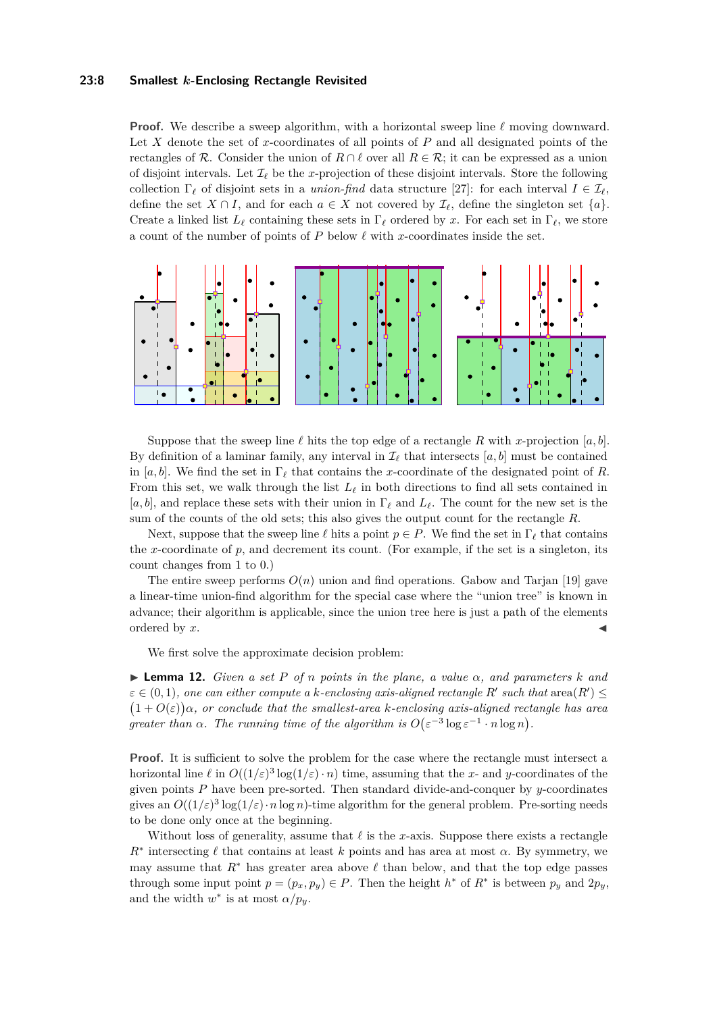#### **23:8 Smallest** *k***-Enclosing Rectangle Revisited**

**Proof.** We describe a sweep algorithm, with a horizontal sweep line  $\ell$  moving downward. Let *X* denote the set of *x*-coordinates of all points of *P* and all designated points of the rectangles of R. Consider the union of  $R \cap \ell$  over all  $R \in \mathcal{R}$ ; it can be expressed as a union of disjoint intervals. Let  $\mathcal{I}_{\ell}$  be the *x*-projection of these disjoint intervals. Store the following collection  $\Gamma_\ell$  of disjoint sets in a *union-find* data structure [\[27\]](#page-14-13): for each interval  $I \in \mathcal{I}_\ell$ , define the set  $X \cap I$ , and for each  $a \in X$  not covered by  $\mathcal{I}_{\ell}$ , define the singleton set  $\{a\}$ . Create a linked list  $L_\ell$  containing these sets in  $\Gamma_\ell$  ordered by *x*. For each set in  $\Gamma_\ell$ , we store a count of the number of points of  $P$  below  $\ell$  with  $x$ -coordinates inside the set.



Suppose that the sweep line  $\ell$  hits the top edge of a rectangle R with *x*-projection [a, b]. By definition of a laminar family, any interval in  $\mathcal{I}_{\ell}$  that intersects [a, b] must be contained in [a, b]. We find the set in  $\Gamma_\ell$  that contains the *x*-coordinate of the designated point of R. From this set, we walk through the list  $L_\ell$  in both directions to find all sets contained in [*a, b*], and replace these sets with their union in  $\Gamma_\ell$  and  $L_\ell$ . The count for the new set is the sum of the counts of the old sets; this also gives the output count for the rectangle *R*.

Next, suppose that the sweep line  $\ell$  hits a point  $p \in P$ . We find the set in  $\Gamma_{\ell}$  that contains the *x*-coordinate of  $p$ , and decrement its count. (For example, if the set is a singleton, its count changes from 1 to 0.)

The entire sweep performs  $O(n)$  union and find operations. Gabow and Tarjan [\[19\]](#page-14-14) gave a linear-time union-find algorithm for the special case where the "union tree" is known in advance; their algorithm is applicable, since the union tree here is just a path of the elements ordered by x.

We first solve the approximate decision problem:

**Example 12.** *Given a set P of n points in the plane, a value*  $\alpha$ *, and parameters k and*  $\varepsilon \in (0,1)$ , one can either compute a *k*-enclosing axis-aligned rectangle R' such that  $\text{area}(R') \leq$  $(1+O(\varepsilon))\alpha$ , or conclude that the smallest-area *k*-enclosing axis-aligned rectangle has area *greater than*  $\alpha$ . The running time of the algorithm is  $O(\varepsilon^{-3} \log \varepsilon^{-1} \cdot n \log n)$ .

**Proof.** It is sufficient to solve the problem for the case where the rectangle must intersect a horizontal line  $\ell$  in  $O((1/\varepsilon)^3 \log(1/\varepsilon) \cdot n)$  time, assuming that the *x*- and *y*-coordinates of the given points *P* have been pre-sorted. Then standard divide-and-conquer by *y*-coordinates gives an  $O((1/\varepsilon)^3 \log(1/\varepsilon) \cdot n \log n)$ -time algorithm for the general problem. Pre-sorting needs to be done only once at the beginning.

Without loss of generality, assume that  $\ell$  is the *x*-axis. Suppose there exists a rectangle  $R^*$  intersecting  $\ell$  that contains at least  $k$  points and has area at most  $\alpha$ . By symmetry, we may assume that  $R^*$  has greater area above  $\ell$  than below, and that the top edge passes through some input point  $p = (p_x, p_y) \in P$ . Then the height  $h^*$  of  $R^*$  is between  $p_y$  and  $2p_y$ , and the width  $w^*$  is at most  $\alpha/p_y$ .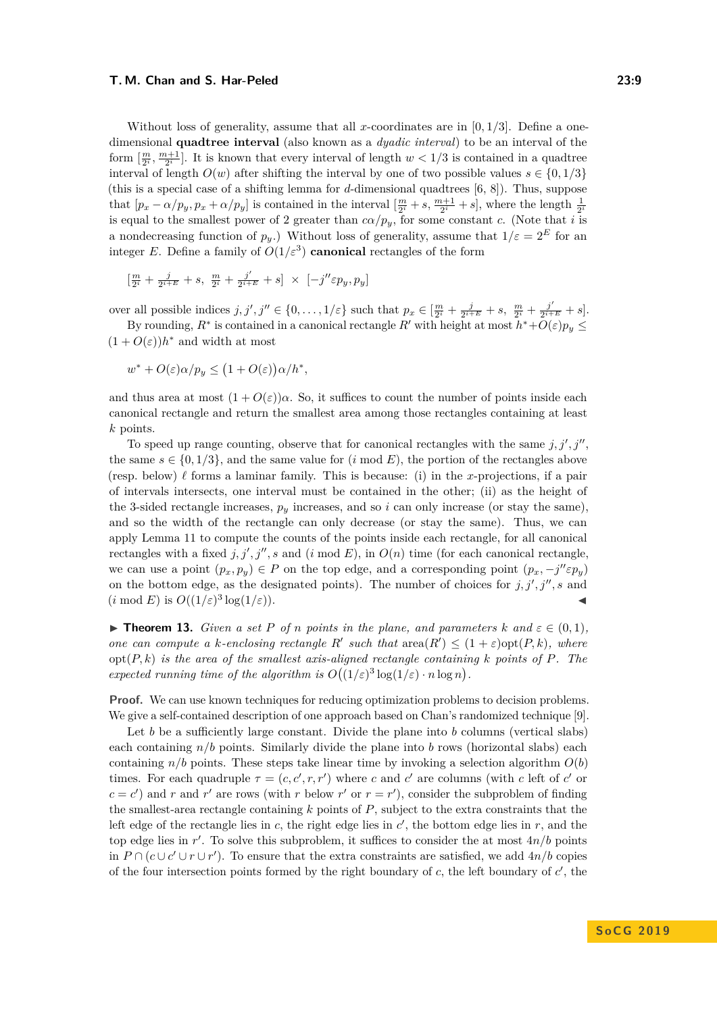Without loss of generality, assume that all *x*-coordinates are in [0*,* 1*/*3]. Define a onedimensional **quadtree interval** (also known as a *dyadic interval*) to be an interval of the form  $\left[\frac{m}{2^i}, \frac{m+1}{2^i}\right]$ . It is known that every interval of length  $w < 1/3$  is contained in a quadtree interval of length  $O(w)$  after shifting the interval by one of two possible values  $s \in \{0, 1/3\}$ (this is a special case of a shifting lemma for *d*-dimensional quadtrees [\[6,](#page-13-5) [8\]](#page-13-6)). Thus, suppose that  $[p_x - \alpha/p_y, p_x + \alpha/p_y]$  is contained in the interval  $[\frac{m}{2^i} + s, \frac{m+1}{2^i} + s]$ , where the length  $\frac{1}{2^i}$ is equal to the smallest power of 2 greater than  $c\alpha/p_y$ , for some constant *c*. (Note that *i* is a nondecreasing function of  $p_y$ .) Without loss of generality, assume that  $1/\varepsilon = 2^E$  for an integer *E*. Define a family of  $O(1/\varepsilon^3)$  **canonical** rectangles of the form

$$
[\tfrac{m}{2^i} + \tfrac{j}{2^{i+E}} + s, \ \tfrac{m}{2^i} + \tfrac{j'}{2^{i+E}} + s] \ \times \ [-j''\varepsilon p_y, p_y]
$$

over all possible indices  $j, j', j'' \in \{0, \ldots, 1/\varepsilon\}$  such that  $p_x \in [\frac{m}{2^i} + \frac{j}{2^{i+E}} + s, \frac{m}{2^i} + \frac{j'}{2^{i+E}}]$  $\frac{j}{2^{i+E}}+s$ .

By rounding,  $R^*$  is contained in a canonical rectangle  $R'$  with height at most  $h^* + O(\varepsilon)p_y \leq$  $(1 + O(\varepsilon))h^*$  and width at most

$$
w^* + O(\varepsilon)\alpha/p_y \le (1 + O(\varepsilon))\alpha/h^*,
$$

and thus area at most  $(1 + O(\varepsilon))\alpha$ . So, it suffices to count the number of points inside each canonical rectangle and return the smallest area among those rectangles containing at least *k* points.

To speed up range counting, observe that for canonical rectangles with the same  $j, j', j'',$ the same  $s \in \{0, 1/3\}$ , and the same value for  $(i \mod E)$ , the portion of the rectangles above (resp. below)  $\ell$  forms a laminar family. This is because: (i) in the *x*-projections, if a pair of intervals intersects, one interval must be contained in the other; (ii) as the height of the 3-sided rectangle increases,  $p_y$  increases, and so *i* can only increase (or stay the same), and so the width of the rectangle can only decrease (or stay the same). Thus, we can apply [Lemma 11](#page-6-3) to compute the counts of the points inside each rectangle, for all canonical rectangles with a fixed  $j, j', j'', s$  and  $(i \mod E)$ , in  $O(n)$  time (for each canonical rectangle, we can use a point  $(p_x, p_y) \in P$  on the top edge, and a corresponding point  $(p_x, -j''\varepsilon p_y)$ on the bottom edge, as the designated points). The number of choices for  $j, j', j'', s$  and  $(i \mod E)$  is  $O((1/\varepsilon)^3 \log(1/\varepsilon))$ .

<span id="page-8-0"></span>▶ **Theorem 13.** *Given a set P of n points in the plane, and parameters k and*  $\varepsilon \in (0,1)$ *, one can compute a k*-enclosing rectangle  $R'$  such that  $area(R') \leq (1+\varepsilon)opt(P, k)$ , where opt(*P, k*) *is the area of the smallest axis-aligned rectangle containing k points of P. The expected running time of the algorithm is*  $O((1/\varepsilon)^3 \log(1/\varepsilon) \cdot n \log n)$ .

**Proof.** We can use known techniques for reducing optimization problems to decision problems. We give a self-contained description of one approach based on Chan's randomized technique [\[9\]](#page-13-7).

Let *b* be a sufficiently large constant. Divide the plane into *b* columns (vertical slabs) each containing  $n/b$  points. Similarly divide the plane into b rows (horizontal slabs) each containing  $n/b$  points. These steps take linear time by invoking a selection algorithm  $O(b)$ times. For each quadruple  $\tau = (c, c', r, r')$  where *c* and *c*' are columns (with *c* left of *c*' or  $c = c'$  and *r* and *r'* are rows (with *r* below *r'* or  $r = r'$ ), consider the subproblem of finding the smallest-area rectangle containing *k* points of *P*, subject to the extra constraints that the left edge of the rectangle lies in  $c$ , the right edge lies in  $c'$ , the bottom edge lies in  $r$ , and the top edge lies in  $r'$ . To solve this subproblem, it suffices to consider the at most  $4n/b$  points in  $P \cap (c \cup c' \cup r \cup r')$ . To ensure that the extra constraints are satisfied, we add 4*n/b* copies of the four intersection points formed by the right boundary of  $c$ , the left boundary of  $c'$ , the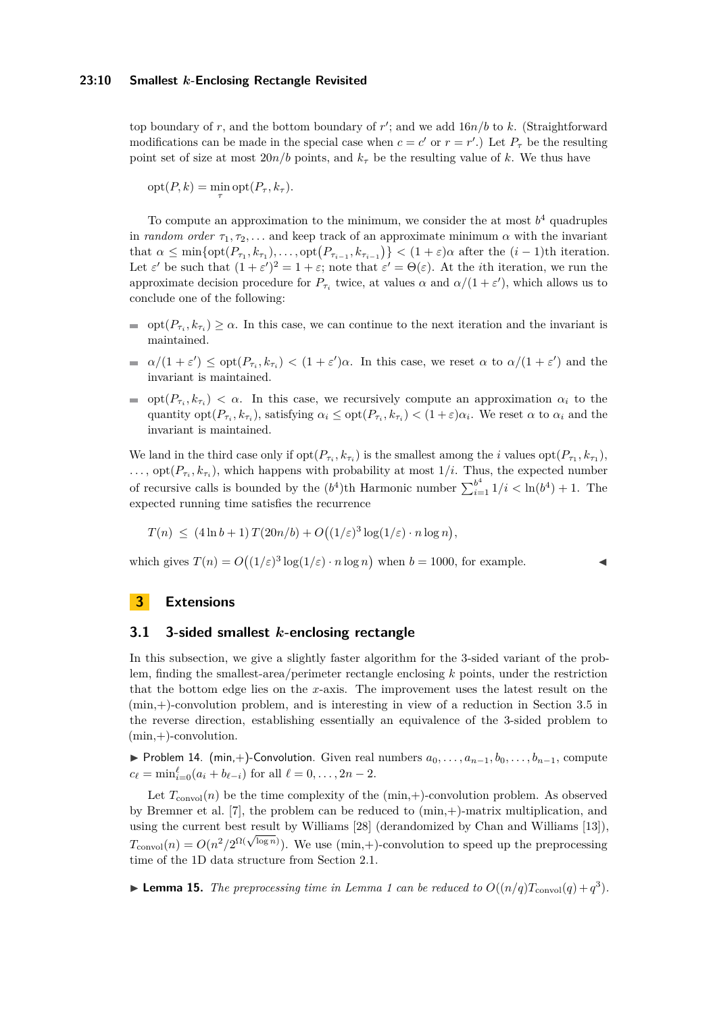top boundary of r, and the bottom boundary of r'; and we add  $16n/b$  to k. (Straightforward modifications can be made in the special case when  $c = c'$  or  $r = r'$ .) Let  $P_\tau$  be the resulting point set of size at most  $20n/b$  points, and  $k<sub>\tau</sub>$  be the resulting value of k. We thus have

 $\mathrm{opt}(P, k) = \min_{\tau} \mathrm{opt}(P_{\tau}, k_{\tau}).$ 

To compute an approximation to the minimum, we consider the at most  $b<sup>4</sup>$  quadruples in *random order*  $\tau_1, \tau_2, \ldots$  and keep track of an approximate minimum  $\alpha$  with the invariant that  $\alpha \leq \min\{\text{opt}(P_{\tau_1}, k_{\tau_1}), \ldots, \text{opt}(P_{\tau_{i-1}}, k_{\tau_{i-1}})\} < (1+\varepsilon)\alpha$  after the  $(i-1)$ th iteration. Let  $\varepsilon'$  be such that  $(1 + \varepsilon')^2 = 1 + \varepsilon$ ; note that  $\varepsilon' = \Theta(\varepsilon)$ . At the *i*th iteration, we run the approximate decision procedure for  $P_{\tau_i}$  twice, at values  $\alpha$  and  $\alpha/(1+\varepsilon')$ , which allows us to conclude one of the following:

- $opt(P_{\tau_i}, k_{\tau_i}) \geq \alpha$ . In this case, we can continue to the next iteration and the invariant is maintained.
- $\alpha/(1+\varepsilon') \leq \mathrm{opt}(P_{\tau_i}, k_{\tau_i}) < (1+\varepsilon')\alpha$ . In this case, we reset  $\alpha$  to  $\alpha/(1+\varepsilon')$  and the  $\blacksquare$ invariant is maintained.
- opt $(P_{\tau_i}, k_{\tau_i}) < \alpha$ . In this case, we recursively compute an approximation  $\alpha_i$  to the quantity opt $(P_{\tau_i}, k_{\tau_i})$ , satisfying  $\alpha_i \leq \text{opt}(P_{\tau_i}, k_{\tau_i}) < (1+\varepsilon)\alpha_i$ . We reset  $\alpha$  to  $\alpha_i$  and the invariant is maintained.

We land in the third case only if  $opt(P_{\tau_i}, k_{\tau_i})$  is the smallest among the *i* values  $opt(P_{\tau_1}, k_{\tau_1})$ ,  $\ldots$ , opt $(P_{\tau_i}, k_{\tau_i})$ , which happens with probability at most  $1/i$ . Thus, the expected number of recursive calls is bounded by the  $(b^4)$ <sup>th</sup> Harmonic number  $\sum_{i=1}^{b^4} 1/i < \ln(b^4) + 1$ . The expected running time satisfies the recurrence

$$
T(n) \le (4\ln b + 1) T(20n/b) + O((1/\varepsilon)^3 \log(1/\varepsilon) \cdot n \log n),
$$

which gives  $T(n) = O((1/\varepsilon)^3 \log(1/\varepsilon) \cdot n \log n)$  when  $b = 1000$ , for example.

## **3 Extensions**

## <span id="page-9-0"></span>**3.1 3-sided smallest** *k***-enclosing rectangle**

In this subsection, we give a slightly faster algorithm for the 3-sided variant of the problem, finding the smallest-area/perimeter rectangle enclosing *k* points, under the restriction that the bottom edge lies on the *x*-axis. The improvement uses the latest result on the  $(\text{min},+)$ -convolution problem, and is interesting in view of a reduction in [Section 3.5](#page-12-1) in the reverse direction, establishing essentially an equivalence of the 3-sided problem to (min,+)-convolution.

 $\triangleright$  Problem 14. (min, +)-Convolution. Given real numbers  $a_0, \ldots, a_{n-1}, b_0, \ldots, b_{n-1}$ , compute  $c_{\ell} = \min_{i=0}^{\ell} (a_i + b_{\ell-i})$  for all  $\ell = 0, \ldots, 2n-2$ .

Let  $T_{\text{convol}}(n)$  be the time complexity of the  $(\min,+)$ -convolution problem. As observed by Bremner et al.  $[7]$ , the problem can be reduced to  $(\min,+)$ -matrix multiplication, and using the current best result by Williams [\[28\]](#page-14-7) (derandomized by Chan and Williams [\[13\]](#page-14-15)),  $T_{\text{convol}}(n) = O(n^2/2^{\Omega(\sqrt{\log n})})$ . We use (min,+)-convolution to speed up the preprocessing time of the 1D data structure from [Section 2.1.](#page-2-0)

**Example 15.** *The preprocessing time in [Lemma 1](#page-2-1) can be reduced to*  $O((n/q)T_{\text{convol}}(q) + q^3)$ *.*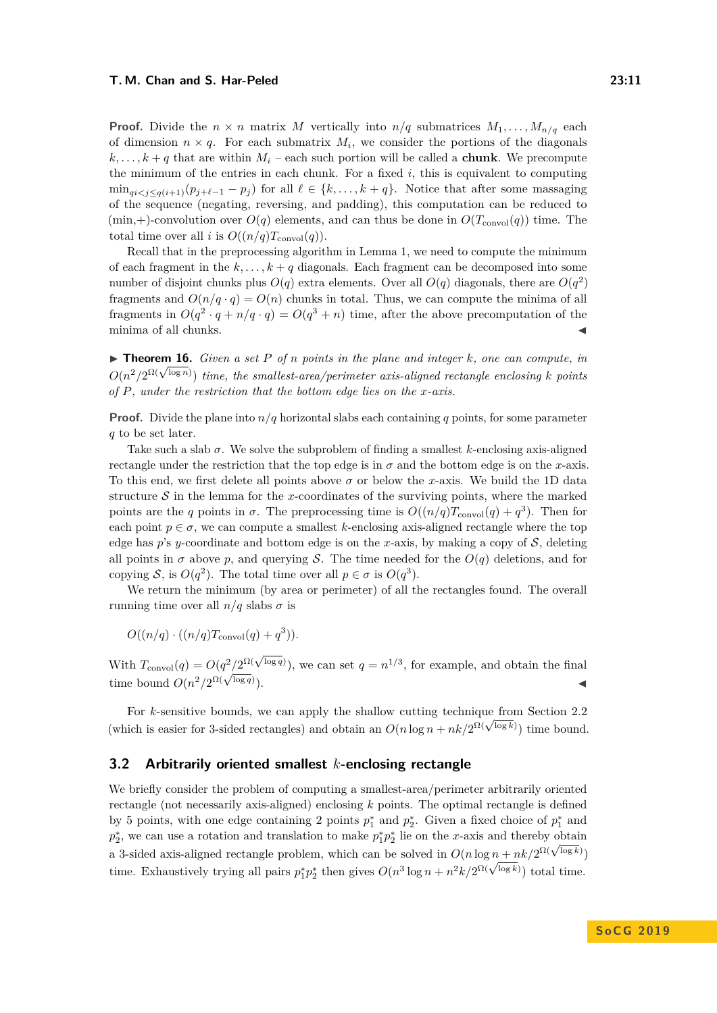**Proof.** Divide the  $n \times n$  matrix *M* vertically into  $n/q$  submatrices  $M_1, \ldots, M_n/q$  each of dimension  $n \times q$ . For each submatrix  $M_i$ , we consider the portions of the diagonals  $k, \ldots, k + q$  that are within  $M_i$  – each such portion will be called a **chunk**. We precompute the minimum of the entries in each chunk. For a fixed *i*, this is equivalent to computing  $\min_{qi < j \leq q(i+1)} (p_{j+\ell-1} - p_j)$  for all  $\ell \in \{k, \ldots, k+q\}$ . Notice that after some massaging of the sequence (negating, reversing, and padding), this computation can be reduced to  $(\min,+)$ -convolution over  $O(q)$  elements, and can thus be done in  $O(T_{\text{convol}}(q))$  time. The total time over all *i* is  $O((n/q)T_{\text{convol}}(q)).$ 

Recall that in the preprocessing algorithm in [Lemma 1,](#page-2-1) we need to compute the minimum of each fragment in the  $k, \ldots, k + q$  diagonals. Each fragment can be decomposed into some number of disjoint chunks plus  $O(q)$  extra elements. Over all  $O(q)$  diagonals, there are  $O(q^2)$ fragments and  $O(n/q \cdot q) = O(n)$  chunks in total. Thus, we can compute the minima of all fragments in  $O(q^2 \cdot q + n/q \cdot q) = O(q^3 + n)$  time, after the above precomputation of the minima of all chunks.

<span id="page-10-0"></span> $\triangleright$  **Theorem 16.** *Given a set P of n points in the plane and integer k, one can compute, in*  $O(n^2/2^{\Omega(\sqrt{\log n})})$  *time, the smallest-area/perimeter axis-aligned rectangle enclosing k points of P, under the restriction that the bottom edge lies on the x-axis.*

**Proof.** Divide the plane into *n/q* horizontal slabs each containing *q* points, for some parameter *q* to be set later.

Take such a slab  $\sigma$ . We solve the subproblem of finding a smallest *k*-enclosing axis-aligned rectangle under the restriction that the top edge is in  $\sigma$  and the bottom edge is on the *x*-axis. To this end, we first delete all points above  $\sigma$  or below the *x*-axis. We build the 1D data structure  $S$  in the lemma for the *x*-coordinates of the surviving points, where the marked points are the *q* points in  $\sigma$ . The preprocessing time is  $O((n/q)T_{\text{convol}}(q) + q^3)$ . Then for each point  $p \in \sigma$ , we can compute a smallest *k*-enclosing axis-aligned rectangle where the top edge has *p*'s *y*-coordinate and bottom edge is on the *x*-axis, by making a copy of  $S$ , deleting all points in  $\sigma$  above  $p$ , and querying S. The time needed for the  $O(q)$  deletions, and for copying S, is  $O(q^2)$ . The total time over all  $p \in \sigma$  is  $O(q^3)$ .

We return the minimum (by area or perimeter) of all the rectangles found. The overall running time over all  $n/q$  slabs  $\sigma$  is

$$
O((n/q) \cdot ((n/q)T_{\text{convol}}(q) + q^3)).
$$

With  $T_{\text{convol}}(q) = O(q^2/2^{\Omega(\sqrt{\log q}}))$ , we can set  $q = n^{1/3}$ , for example, and obtain the final with  $I_{\text{convol}}(q) = O(q^2/2^{\sqrt{3}})$ , we can set  $q = n^{2/3}$ , for example, and obtain the final time bound  $O(n^2/2^{\Omega(\sqrt{\log q})})$ .

For *k*-sensitive bounds, we can apply the shallow cutting technique from [Section 2.2](#page-4-0) for *k*-sensitive bounds, we can apply the shallow cutting technique from Section 2.2<br>(which is easier for 3-sided rectangles) and obtain an  $O(n \log n + nk/2^{\Omega(\sqrt{\log k}}))$  time bound.

## <span id="page-10-1"></span>**3.2 Arbitrarily oriented smallest** *k***-enclosing rectangle**

We briefly consider the problem of computing a smallest-area/perimeter arbitrarily oriented rectangle (not necessarily axis-aligned) enclosing *k* points. The optimal rectangle is defined by 5 points, with one edge containing 2 points  $p_1^*$  and  $p_2^*$ . Given a fixed choice of  $p_1^*$  and  $p_2^*$ , we can use a rotation and translation to make  $p_1^* p_2^*$  lie on the *x*-axis and thereby obtain  $p_2$ , we can use a rotation and translation to make  $p_1p_2$  he on the *x*-axis and thereby obtain a 3-sided axis-aligned rectangle problem, which can be solved in  $O(n \log n + nk/2^{\Omega(\sqrt{\log k})})$ a 3-sided axis-angled rectangle problem, which can be solved in  $O(n \log n + nk/2$  (v  $\log n$ )<br>time. Exhaustively trying all pairs  $p_1^* p_2^*$  then gives  $O(n^3 \log n + n^2 k/2^{\Omega(\sqrt{\log k})})$  total time.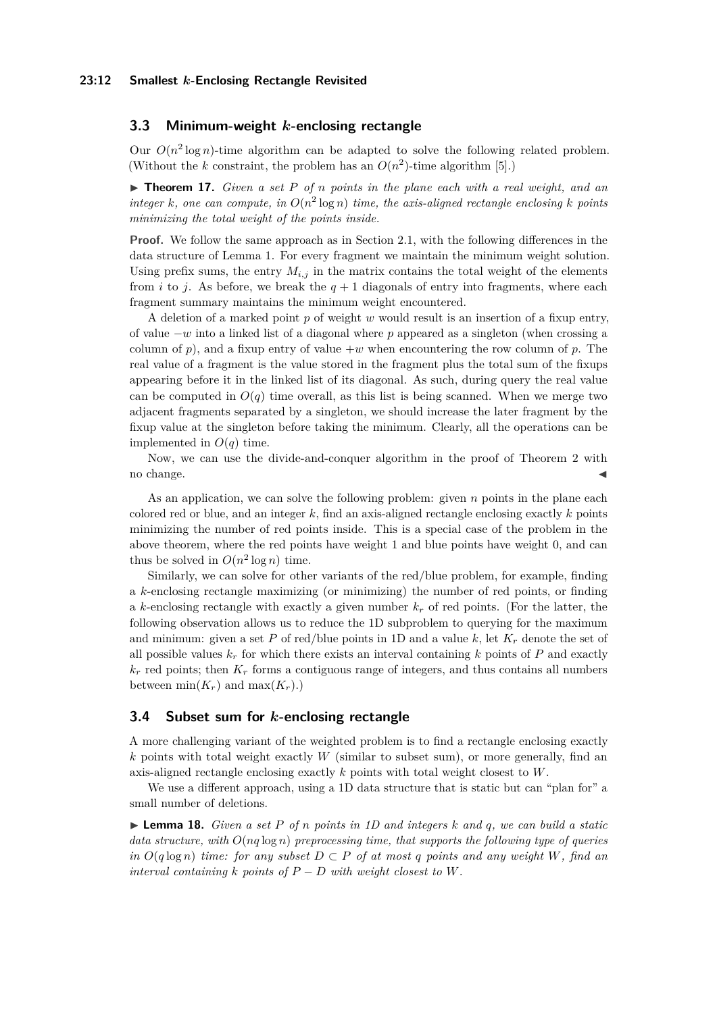#### **23:12 Smallest** *k***-Enclosing Rectangle Revisited**

## <span id="page-11-0"></span>**3.3 Minimum-weight** *k***-enclosing rectangle**

Our  $O(n^2 \log n)$ -time algorithm can be adapted to solve the following related problem. (Without the *k* constraint, the problem has an  $O(n^2)$ -time algorithm [\[5\]](#page-13-2).)

<span id="page-11-1"></span>I **Theorem 17.** *Given a set P of n points in the plane each with a real weight, and an* integer *k*, one can compute, in  $O(n^2 \log n)$  time, the axis-aligned rectangle enclosing *k* points *minimizing the total weight of the points inside.*

**Proof.** We follow the same approach as in [Section 2.1,](#page-2-0) with the following differences in the data structure of [Lemma 1.](#page-2-1) For every fragment we maintain the minimum weight solution. Using prefix sums, the entry  $M_{i,j}$  in the matrix contains the total weight of the elements from *i* to *j*. As before, we break the  $q + 1$  diagonals of entry into fragments, where each fragment summary maintains the minimum weight encountered.

A deletion of a marked point *p* of weight *w* would result is an insertion of a fixup entry, of value −*w* into a linked list of a diagonal where *p* appeared as a singleton (when crossing a column of  $p$ ), and a fixup entry of value  $+w$  when encountering the row column of  $p$ . The real value of a fragment is the value stored in the fragment plus the total sum of the fixups appearing before it in the linked list of its diagonal. As such, during query the real value can be computed in  $O(q)$  time overall, as this list is being scanned. When we merge two adjacent fragments separated by a singleton, we should increase the later fragment by the fixup value at the singleton before taking the minimum. Clearly, all the operations can be implemented in  $O(q)$  time.

Now, we can use the divide-and-conquer algorithm in the proof of [Theorem 2](#page-3-0) with no change.  $\blacksquare$ 

As an application, we can solve the following problem: given *n* points in the plane each colored red or blue, and an integer *k*, find an axis-aligned rectangle enclosing exactly *k* points minimizing the number of red points inside. This is a special case of the problem in the above theorem, where the red points have weight 1 and blue points have weight 0, and can thus be solved in  $O(n^2 \log n)$  time.

Similarly, we can solve for other variants of the red/blue problem, for example, finding a *k*-enclosing rectangle maximizing (or minimizing) the number of red points, or finding a *k*-enclosing rectangle with exactly a given number  $k_r$  of red points. (For the latter, the following observation allows us to reduce the 1D subproblem to querying for the maximum and minimum: given a set P of red/blue points in 1D and a value  $k$ , let  $K_r$  denote the set of all possible values  $k_r$  for which there exists an interval containing k points of P and exactly  $k_r$  red points; then  $K_r$  forms a contiguous range of integers, and thus contains all numbers between  $min(K_r)$  and  $max(K_r)$ .)

## <span id="page-11-2"></span>**3.4 Subset sum for** *k***-enclosing rectangle**

A more challenging variant of the weighted problem is to find a rectangle enclosing exactly *k* points with total weight exactly *W* (similar to subset sum), or more generally, find an axis-aligned rectangle enclosing exactly *k* points with total weight closest to *W*.

We use a different approach, using a 1D data structure that is static but can "plan for" a small number of deletions.

 $\triangleright$  **Lemma 18.** *Given a set P of n points in 1D and integers k and q, we can build a static data structure, with O*(*nq* log *n*) *preprocessing time, that supports the following type of queries in*  $O(q \log n)$  *time: for any subset*  $D ⊂ P$  *of at most q points and any weight W, find an interval containing*  $k$  *points of*  $P - D$  *with weight closest to*  $W$ *.*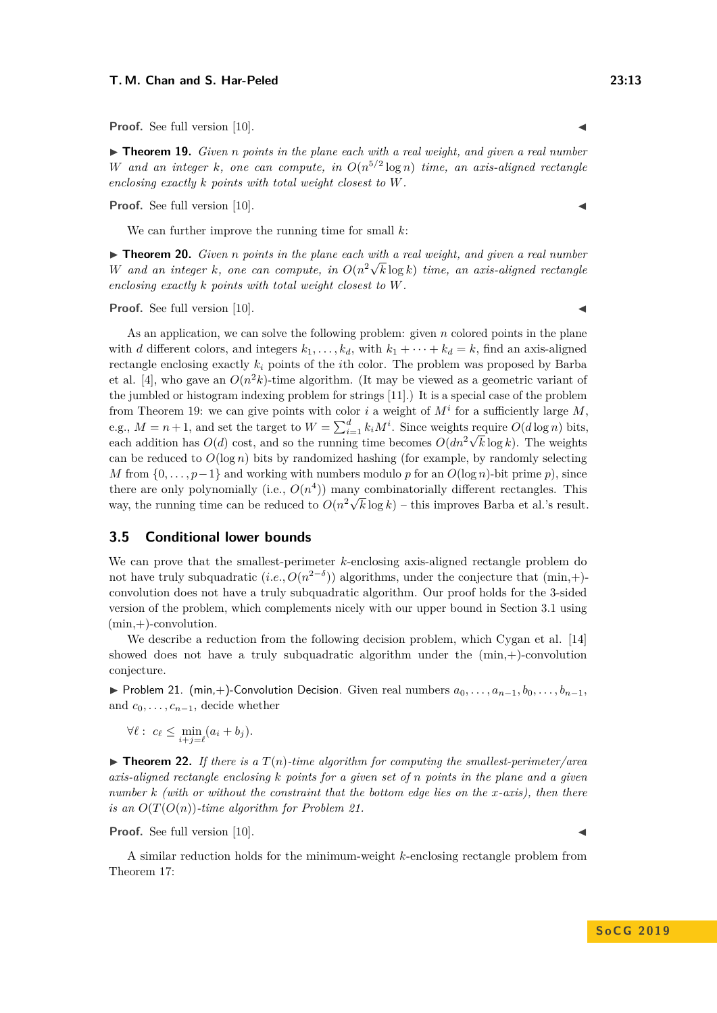**Proof.** See full version [\[10\]](#page-13-8).

<span id="page-12-0"></span>I **Theorem 19.** *Given n points in the plane each with a real weight, and given a real number W* and an integer *k*, one can compute, in  $O(n^{5/2} \log n)$  time, an axis-aligned rectangle *enclosing exactly k points with total weight closest to W.*

**Proof.** See full version [\[10\]](#page-13-8).

We can further improve the running time for small *k*:

 $\blacktriangleright$  **Theorem 20.** *Given n* points in the plane each with a real weight, and given a real number *W* and an integer *k*, one can compute, in  $O(n^2\sqrt{k}\log k)$  time, an axis-aligned rectangle *enclosing exactly k points with total weight closest to W.*

**Proof.** See full version [\[10\]](#page-13-8).

As an application, we can solve the following problem: given *n* colored points in the plane with *d* different colors, and integers  $k_1, \ldots, k_d$ , with  $k_1 + \cdots + k_d = k$ , find an axis-aligned rectangle enclosing exactly *k<sup>i</sup>* points of the *i*th color. The problem was proposed by Barba et al. [\[4\]](#page-13-9), who gave an  $O(n^2k)$ -time algorithm. (It may be viewed as a geometric variant of the jumbled or histogram indexing problem for strings [\[11\]](#page-13-10).) It is a special case of the problem from [Theorem 19:](#page-12-0) we can give points with color *i* a weight of  $M^i$  for a sufficiently large M, e.g.,  $M = n + 1$ , and set the target to  $W = \sum_{i=1}^{d} k_i M^i$ . Since weights require  $O(d \log n)$  bits, each addition has  $O(d)$  cost, and so the running time becomes  $O(d n^2 \sqrt{k} \log k)$ . The weights can be reduced to  $O(\log n)$  bits by randomized hashing (for example, by randomly selecting *M* from  $\{0, \ldots, p-1\}$  and working with numbers modulo *p* for an  $O(\log n)$ -bit prime *p*), since there are only polynomially (i.e.,  $O(n^4)$ ) many combinatorially different rectangles. This way, the running time can be reduced to  $O(n^2\sqrt{k}\log k)$  – this improves Barba et al.'s result.

## <span id="page-12-1"></span>**3.5 Conditional lower bounds**

We can prove that the smallest-perimeter *k*-enclosing axis-aligned rectangle problem do not have truly subquadratic  $(i.e., O(n^{2-\delta}))$  algorithms, under the conjecture that  $(\min,+)$ convolution does not have a truly subquadratic algorithm. Our proof holds for the 3-sided version of the problem, which complements nicely with our upper bound in [Section 3.1](#page-9-0) using  $(min,+)$ -convolution.

We describe a reduction from the following decision problem, which Cygan et al. [\[14\]](#page-14-9) showed does not have a truly subquadratic algorithm under the (min,+)-convolution conjecture.

<span id="page-12-2"></span>▶ Problem 21. (min,+)-Convolution Decision. Given real numbers  $a_0, \ldots, a_{n-1}, b_0, \ldots, b_{n-1}$ , and  $c_0, \ldots, c_{n-1}$ , decide whether

 $\forall \ell : c_{\ell} \leq \min_{i+j=\ell} (a_i + b_j).$ 

 $\triangleright$  **Theorem 22.** *If there is a*  $T(n)$ -time algorithm for computing the smallest-perimeter/area *axis-aligned rectangle enclosing k points for a given set of n points in the plane and a given number k (with or without the constraint that the bottom edge lies on the x-axis), then there is an*  $O(T(O(n))$ -time algorithm for [Problem 21.](#page-12-2)

**Proof.** See full version [\[10\]](#page-13-8).

A similar reduction holds for the minimum-weight *k*-enclosing rectangle problem from [Theorem 17:](#page-11-1)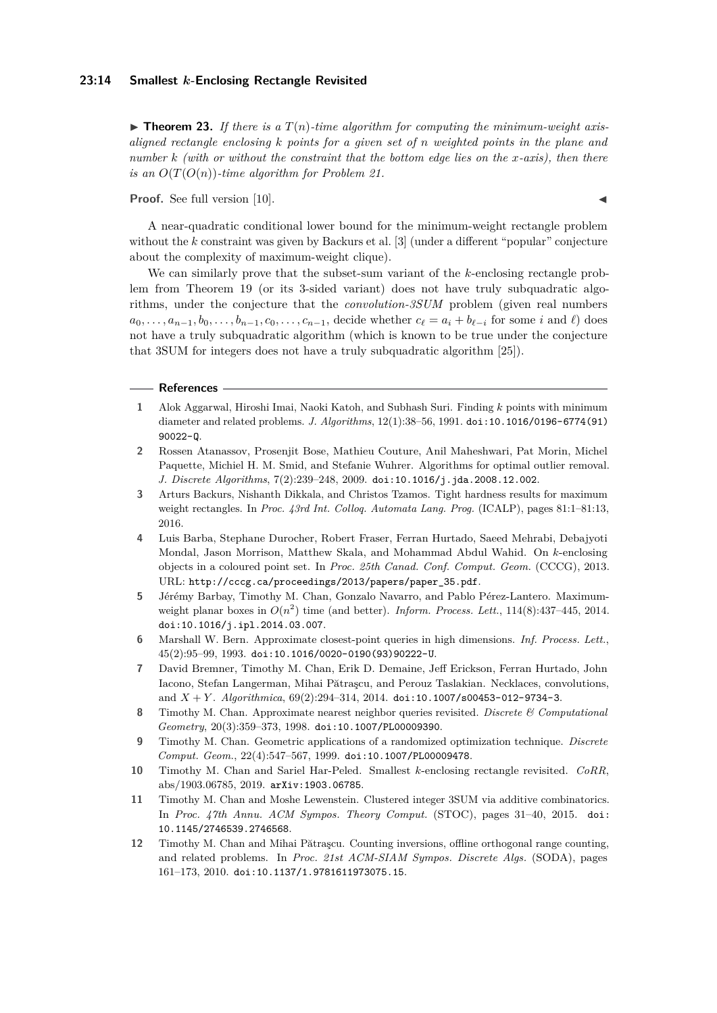#### **23:14 Smallest** *k***-Enclosing Rectangle Revisited**

 $\triangleright$  **Theorem 23.** If there is a  $T(n)$ -time algorithm for computing the minimum-weight axis*aligned rectangle enclosing k points for a given set of n weighted points in the plane and number k (with or without the constraint that the bottom edge lies on the x-axis), then there is an*  $O(T(O(n))$ -time algorithm for [Problem 21.](#page-12-2)

**Proof.** See full version [\[10\]](#page-13-8).

A near-quadratic conditional lower bound for the minimum-weight rectangle problem without the *k* constraint was given by Backurs et al. [\[3\]](#page-13-11) (under a different "popular" conjecture about the complexity of maximum-weight clique).

We can similarly prove that the subset-sum variant of the *k*-enclosing rectangle problem from [Theorem 19](#page-12-0) (or its 3-sided variant) does not have truly subquadratic algorithms, under the conjecture that the *convolution-3SUM* problem (given real numbers  $a_0,\ldots,a_{n-1},b_0,\ldots,b_{n-1},c_0,\ldots,c_{n-1}$ , decide whether  $c_\ell=a_i+b_{\ell-i}$  for some i and  $\ell$ ) does not have a truly subquadratic algorithm (which is known to be true under the conjecture that 3SUM for integers does not have a truly subquadratic algorithm [\[25\]](#page-14-16)).

#### **References**

- <span id="page-13-0"></span>**1** Alok Aggarwal, Hiroshi Imai, Naoki Katoh, and Subhash Suri. Finding *k* points with minimum diameter and related problems. *J. Algorithms*, 12(1):38–56, 1991. [doi:10.1016/0196-6774\(91\)](http://dx.doi.org/10.1016/0196-6774(91)90022-Q) [90022-Q](http://dx.doi.org/10.1016/0196-6774(91)90022-Q).
- <span id="page-13-3"></span>**2** Rossen Atanassov, Prosenjit Bose, Mathieu Couture, Anil Maheshwari, Pat Morin, Michel Paquette, Michiel H. M. Smid, and Stefanie Wuhrer. Algorithms for optimal outlier removal. *J. Discrete Algorithms*, 7(2):239–248, 2009. [doi:10.1016/j.jda.2008.12.002](http://dx.doi.org/10.1016/j.jda.2008.12.002).
- <span id="page-13-11"></span>**3** Arturs Backurs, Nishanth Dikkala, and Christos Tzamos. Tight hardness results for maximum weight rectangles. In *Proc. 43rd Int. Colloq. Automata Lang. Prog.* (ICALP), pages 81:1–81:13, 2016.
- <span id="page-13-9"></span>**4** Luis Barba, Stephane Durocher, Robert Fraser, Ferran Hurtado, Saeed Mehrabi, Debajyoti Mondal, Jason Morrison, Matthew Skala, and Mohammad Abdul Wahid. On *k*-enclosing objects in a coloured point set. In *Proc. 25th Canad. Conf. Comput. Geom.* (CCCG), 2013. URL: [http://cccg.ca/proceedings/2013/papers/paper\\_35.pdf](http://cccg.ca/proceedings/2013/papers/paper_35.pdf).
- <span id="page-13-2"></span>**5** Jérémy Barbay, Timothy M. Chan, Gonzalo Navarro, and Pablo Pérez-Lantero. Maximumweight planar boxes in  $O(n^2)$  time (and better). *Inform. Process. Lett.*, 114(8):437-445, 2014. [doi:10.1016/j.ipl.2014.03.007](http://dx.doi.org/10.1016/j.ipl.2014.03.007).
- <span id="page-13-5"></span>**6** Marshall W. Bern. Approximate closest-point queries in high dimensions. *Inf. Process. Lett.*, 45(2):95–99, 1993. [doi:10.1016/0020-0190\(93\)90222-U](http://dx.doi.org/10.1016/0020-0190(93)90222-U).
- <span id="page-13-1"></span>**7** David Bremner, Timothy M. Chan, Erik D. Demaine, Jeff Erickson, Ferran Hurtado, John Iacono, Stefan Langerman, Mihai Pătraşcu, and Perouz Taslakian. Necklaces, convolutions, and *X* + *Y* . *Algorithmica*, 69(2):294–314, 2014. [doi:10.1007/s00453-012-9734-3](http://dx.doi.org/10.1007/s00453-012-9734-3).
- <span id="page-13-6"></span>**8** Timothy M. Chan. Approximate nearest neighbor queries revisited. *Discrete & Computational Geometry*, 20(3):359–373, 1998. [doi:10.1007/PL00009390](http://dx.doi.org/10.1007/PL00009390).
- <span id="page-13-7"></span>**9** Timothy M. Chan. Geometric applications of a randomized optimization technique. *Discrete Comput. Geom.*, 22(4):547–567, 1999. [doi:10.1007/PL00009478](http://dx.doi.org/10.1007/PL00009478).
- <span id="page-13-8"></span>**10** Timothy M. Chan and Sariel Har-Peled. Smallest *k*-enclosing rectangle revisited. *CoRR*, abs/1903.06785, 2019. [arXiv:1903.06785](http://arxiv.org/abs/1903.06785).
- <span id="page-13-10"></span>**11** Timothy M. Chan and Moshe Lewenstein. Clustered integer 3SUM via additive combinatorics. In *Proc. 47th Annu. ACM Sympos. Theory Comput.* (STOC), pages 31–40, 2015. [doi:](http://dx.doi.org/10.1145/2746539.2746568) [10.1145/2746539.2746568](http://dx.doi.org/10.1145/2746539.2746568).
- <span id="page-13-4"></span>**12** Timothy M. Chan and Mihai Pătraşcu. Counting inversions, offline orthogonal range counting, and related problems. In *Proc. 21st ACM-SIAM Sympos. Discrete Algs.* (SODA), pages 161–173, 2010. [doi:10.1137/1.9781611973075.15](http://dx.doi.org/10.1137/1.9781611973075.15).